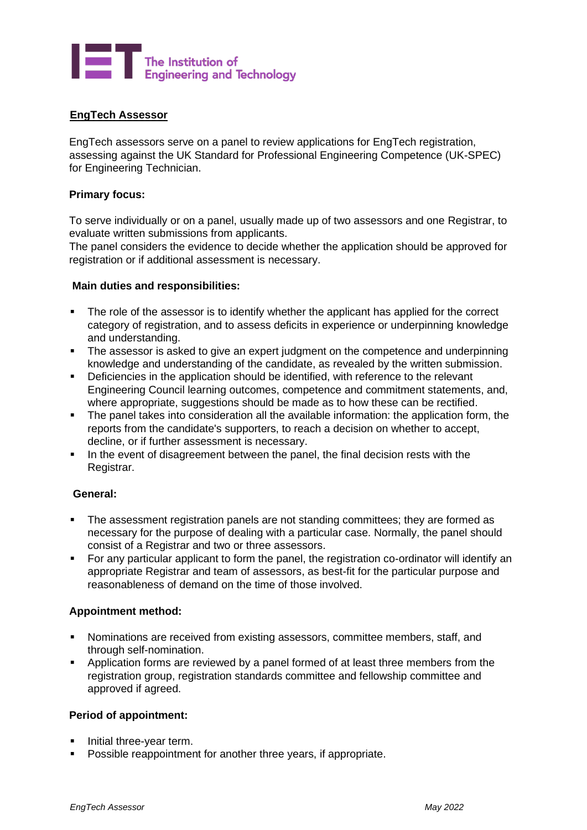

## **EngTech Assessor**

EngTech assessors serve on a panel to review applications for EngTech registration, assessing against the UK Standard for Professional Engineering Competence (UK-SPEC) for Engineering Technician.

### **Primary focus:**

To serve individually or on a panel, usually made up of two assessors and one Registrar, to evaluate written submissions from applicants.

The panel considers the evidence to decide whether the application should be approved for registration or if additional assessment is necessary.

### **Main duties and responsibilities:**

- The role of the assessor is to identify whether the applicant has applied for the correct category of registration, and to assess deficits in experience or underpinning knowledge and understanding.
- The assessor is asked to give an expert judgment on the competence and underpinning knowledge and understanding of the candidate, as revealed by the written submission.
- **•** Deficiencies in the application should be identified, with reference to the relevant Engineering Council learning outcomes, competence and commitment statements, and, where appropriate, suggestions should be made as to how these can be rectified.
- **•** The panel takes into consideration all the available information: the application form, the reports from the candidate's supporters, to reach a decision on whether to accept, decline, or if further assessment is necessary.
- **.** In the event of disagreement between the panel, the final decision rests with the Registrar.

### **General:**

- The assessment registration panels are not standing committees; they are formed as necessary for the purpose of dealing with a particular case. Normally, the panel should consist of a Registrar and two or three assessors.
- For any particular applicant to form the panel, the registration co-ordinator will identify an appropriate Registrar and team of assessors, as best-fit for the particular purpose and reasonableness of demand on the time of those involved.

## **Appointment method:**

- Nominations are received from existing assessors, committee members, staff, and through self-nomination.
- Application forms are reviewed by a panel formed of at least three members from the registration group, registration standards committee and fellowship committee and approved if agreed.

### **Period of appointment:**

- Initial three-vear term.
- Possible reappointment for another three years, if appropriate.